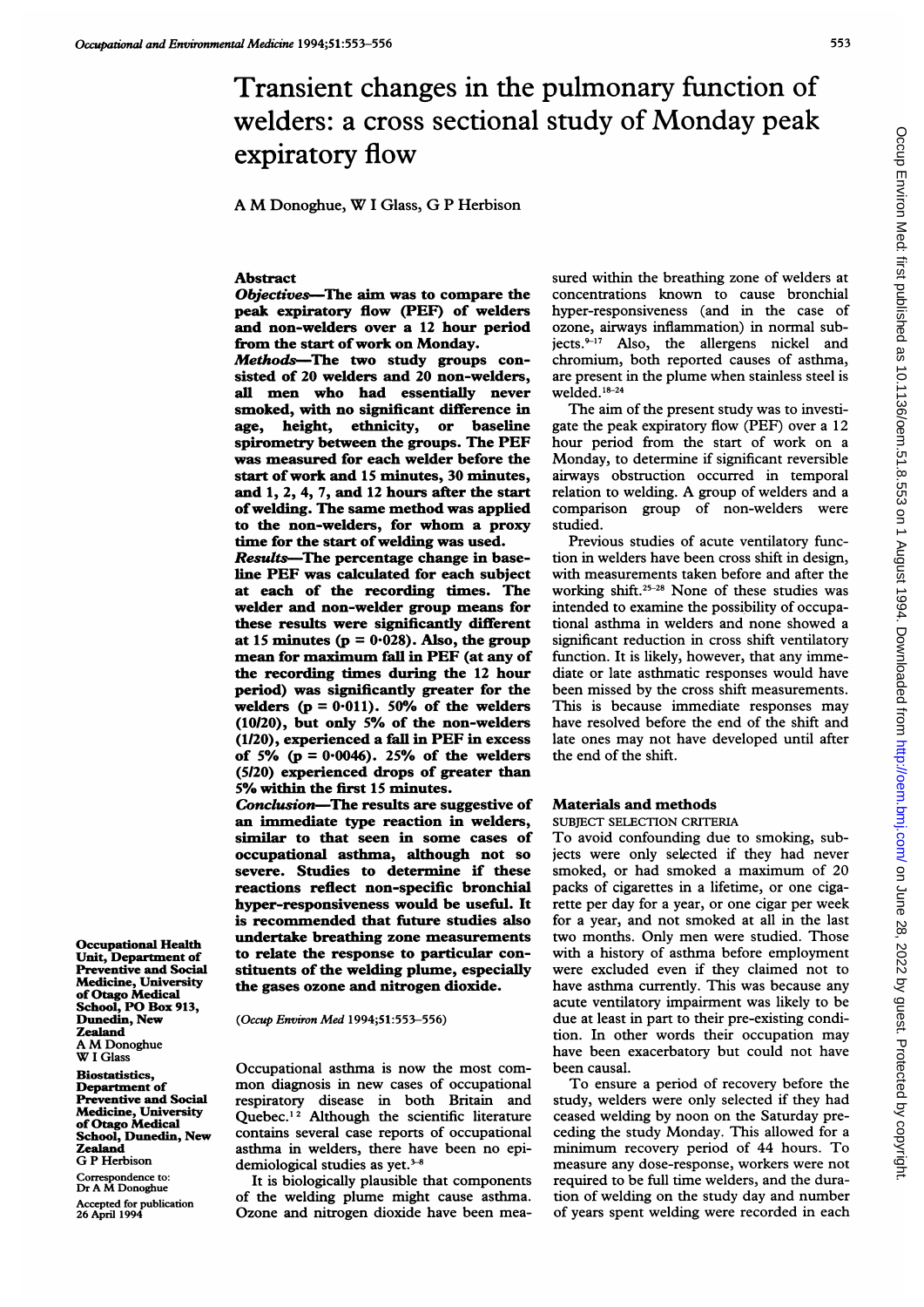# Transient changes in the pulmonary function of welders: a cross sectional study of Monday peak expiratory flow

A M Donoghue, W <sup>I</sup> Glass, G <sup>P</sup> Herbison

## Abstract

Objectives-The aim was to compare the peak expiratory flow (PEF) of welders and non-welders over a 12 hour period from the start of work on Monday.

Methods-The two study groups consisted of 20 welders and 20 non-welders, all men who had essentially never smoked, with no significant difference in age, height, ethnicity, or baseline spirometry between the groups. The PEF was measured for each welder before the start of work and 15 minutes, 30 minutes, and 1, 2, 4, 7, and <sup>12</sup> hours after the start ofwelding. The same method was applied to the non-welders, for whom a proxy time for the start of welding was used.

Results-The percentage change in baseline PEF was calculated for each subject at each of the recording times. The welder and non-welder group means for these results were significantly different at 15 minutes ( $p = 0.028$ ). Also, the group mean for maximum fall in PEF (at any of the recording times during the 12 hour period) was significantly greater for the welders  $(p = 0.011)$ . 50% of the welders (10120), but only 5% of the non-welders (1120), experienced a fall in PEF in excess of 5% ( $p = 0.0046$ ). 25% of the welders (5I20) experienced drops of greater than 5% within the first <sup>15</sup> minutes.

Conclusion-The results are suggestive of an immediate type reaction in welders, similar to that seen in some cases of occupational asthma, although not so severe. Studies to determine if these reactions reflect non-specific bronchial hyper-responsiveness would be useful. It is recommended that future studies also undertake breathing zone measurements to relate the response to particular constituents of the welding plume, especially the gases ozone and nitrogen dioxide.

(Occup Environ Med 1994;5l:553-556)

Occupational asthma is now the most common diagnosis in new cases of occupational respiratory disease in both Britain and Quebec.<sup>12</sup> Although the scientific literature contains several case reports of occupational asthma in welders, there have been no epidemiological studies as yet.<sup>3-8</sup>

It is biologically plausible that components of the welding plume might cause asthma. Ozone and nitrogen dioxide have been measured within the breathing zone of welders at concentrations known to cause bronchial hyper-responsiveness (and in the case of ozone, airways inflammation) in normal subjects. $9-17$  Also, the allergens nickel and chromium, both reported causes of asthma, are present in the plume when stainless steel is welded. 18-24

The aim of the present study was to investigate the peak expiratory flow (PEF) over a 12 hour period from the start of work on a Monday, to determine if significant reversible airways obstruction occurred in temporal relation to welding. A group of welders and <sup>a</sup> comparison group of non-welders were studied.

Previous studies of acute ventilatory function in welders have been cross shift in design, with measurements taken before and after the working shift.25-28 None of these studies was intended to examine the possibility of occupational asthma in welders and none showed a significant reduction in cross shift ventilatory function. It is likely, however, that any immediate or late asthmatic responses would have been missed by the cross shift measurements. This is because immediate responses may have resolved before the end of the shift and late ones may not have developed until after the end of the shift.

#### Materials and methods

#### SUBJECT SELECTION CRITERIA

To avoid confounding due to smoking, subjects were only selected if they had never smoked, or had smoked <sup>a</sup> maximum of 20 packs of cigarettes in a lifetime, or one cigarette per day for a year, or one cigar per week for a year, and not smoked at all in the last two months. Only men were studied. Those with a history of asthma before employment were excluded even if they claimed not to have asthma currently. This was because any acute ventilatory impairment was likely to be due at least in part to their pre-existing condition. In other words their occupation may have been exacerbatory but could not have been causal.

To ensure <sup>a</sup> period of recovery before the study, welders were only selected if they had ceased welding by noon on the Saturday preceding the study Monday. This allowed for a minimum recovery period of 44 hours. To measure any dose-response, workers were not required to be full time welders, and the duration of welding on the study day and number of years spent welding were recorded in each

Occupational Health Unit, Department of Preventive and Social Medicine, University of Otago Medical School, PO Box 913, Dunedin, New Zealand A M Donoghue W <sup>I</sup> Glass

**Biostatistics** Department of Preventive and Social Medicine, University of Otago Medical School, Dunedin, New Zealand G P Herbison

Correspondence to: Dr A M Donoghue Accepted for publication 26 April 1994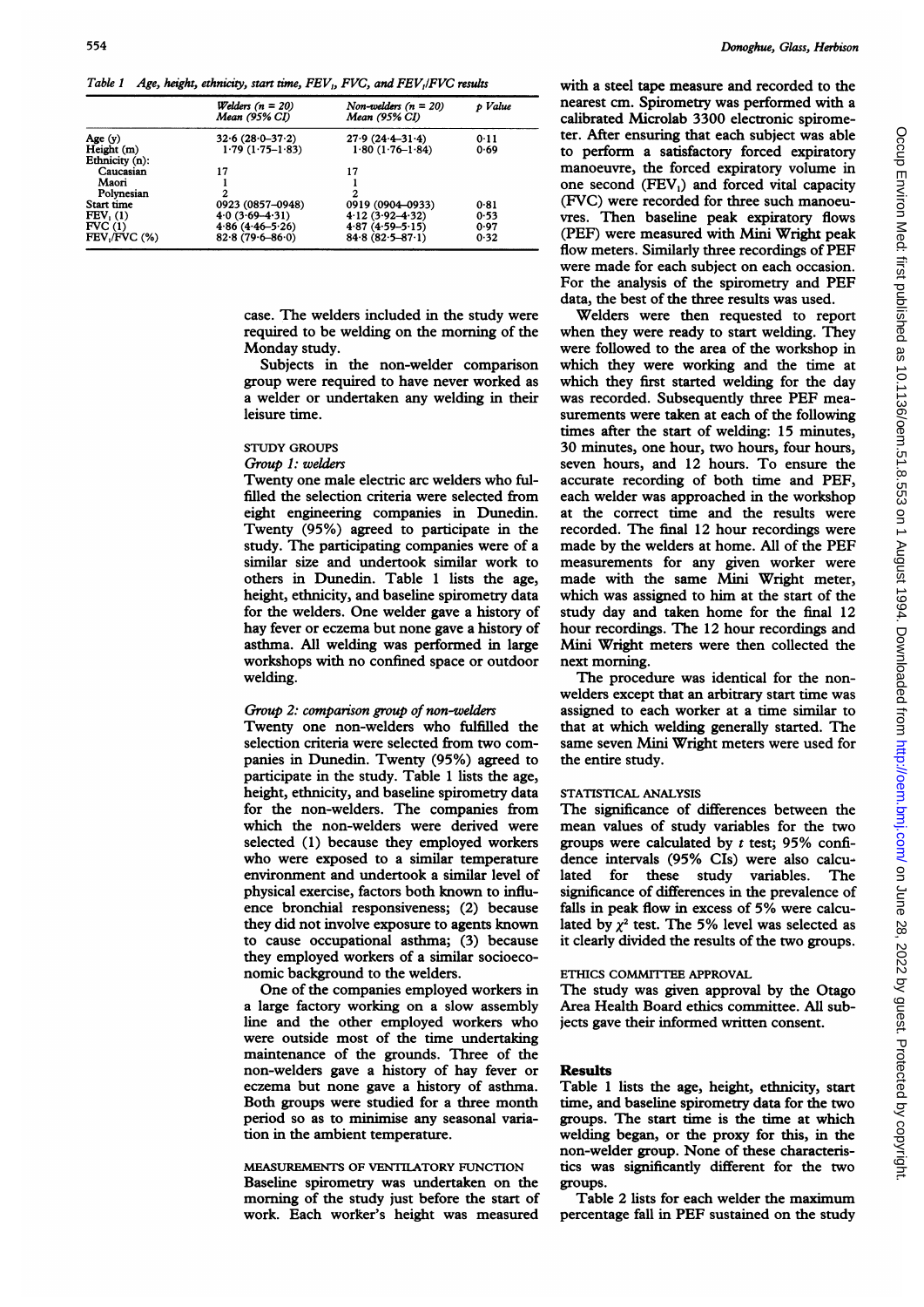Table 1 Age, height, ethnicity, start time, FEV, FVC, and FEV, FVC results

|                              | Welders $(n = 20)$<br>Mean (95% CI)        | Non-welders $(n = 20)$<br>Mean (95% CI)    | p Value      |  |
|------------------------------|--------------------------------------------|--------------------------------------------|--------------|--|
| Age $(y)$                    | $32.6(28.0 - 37.2)$                        | $27.9(24.4 - 31.4)$                        | 0.11         |  |
| Height (m)<br>Ethnicity (n): | $1.79(1.75-1.83)$                          | $1.80(1.76 - 1.84)$                        | 0.69         |  |
| Caucasian                    | 17                                         | 17                                         |              |  |
| Maori                        |                                            |                                            |              |  |
| Polynesian                   | 2                                          | 2                                          |              |  |
| Start time                   | 0923 (0857-0948)                           | 0919 (0904-0933)                           | 0.81         |  |
| FEV <sub>1</sub> (1)         | $4.0(3.69 - 4.31)$                         | $4.12(3.92 - 4.32)$                        | 0.53         |  |
| FVC(1)<br>FEV./FVC (%)       | $4.86(4.46 - 5.26)$<br>$82.8(79.6 - 86.0)$ | $4.87(4.59 - 5.15)$<br>$84.8(82.5 - 87.1)$ | 0.97<br>0.32 |  |

case. The welders included in the study were required to be welding on the morning of the Monday study.

Subjects in the non-welder comparison group were required to have never worked as a welder or undertaken any welding in their leisure time.

## STUDY GROUPS

## Group 1: welders

Twenty one male electric arc welders who fulfilled the selection criteria were selected from eight engineering companies in Dunedin. Twenty (95%) agreed to participate in the study. The participating companies were of a similar size and undertook similar work to others in Dunedin. Table <sup>1</sup> lists the age, height, ethnicity, and baseline spirometry data for the welders. One welder gave a history of hay fever or eczema but none gave a history of asthma. All welding was performed in large workshops with no confined space or outdoor welding.

#### Group 2: comparison group of non-welders

Twenty one non-welders who fulfilled the selection criteria were selected from two companies in Dunedin. Twenty (95%) agreed to participate in the study. Table <sup>1</sup> lists the age, height, ethnicity, and baseline spirometry data for the non-welders. The companies from which the non-welders were derived were selected (1) because they employed workers who were exposed to a similar temperature environment and undertook a similar level of physical exercise, factors both known to influence bronchial responsiveness; (2) because they did not involve exposure to agents known to cause occupational asthma; (3) because they employed workers of a similar socioeconomic background to the welders.

One of the companies employed workers in a large factory working on a slow assembly line and the other employed workers who were outside most of the time undertaking maintenance of the grounds. Three of the non-welders gave a history of hay fever or eczema but none gave a history of asthma. Both groups were studied for a three month period so as to minimize any seasonal variation in the ambient temperature.

## MEASUREMENTS OF VENTILATORY FUNCTION Baseline spirometry was undertaken on the morning of the study just before the start of work. Each worker's height was measured

with a steel tape measure and recorded to the nearest cm. Spirometry was performed with a calibrated Microlab 3300 electronic spirometer. After ensuring that each subject was able to perform a satisfactory forced expiratory manoeuvre, the forced expiratory volume in one second  $(FEV_1)$  and forced vital capacity (FVG) were recorded for three such manoeuvres. Then baseline peak expiratory flows (PEF) were measured with Mini Wright peak flow meters. Similarly three recordings of PEF were made for each subject on each occasion. For the analysis of the spirometry and PEF data, the best of the three results was used.

Welders were then requested to report when they were ready to start welding. They were followed to the area of the workshop in which they were working and the time at which they first started welding for the day was recorded. Subsequently three PEF measurements were taken at each of the following times after the start of welding: 15 minutes, 30 minutes, one hour, two hours, four hours, seven hours, and 12 hours. To ensure the accurate recording of both time and PEF, each welder was approached in the workshop at the correct time and the results were recorded. The final 12 hour recordings were made by the welders at home. All of the PEF measurements for any given worker were made with the same Mini Wright meter, which was assigned to him at the start of the study day and taken home for the final 12 hour recordings. The 12 hour recordings and Mini Wright meters were then collected the next morning.

The procedure was identical for the nonwelders except that an arbitrary start time was assigned to each worker at a time similar to that at which welding generally started. The same seven Mini Wright meters were used for the entire study.

## STATISTICAL ANALYSIS

The significance of differences between the mean values of study variables for the two groups were calculated by  $t$  test; 95% confidence intervals (95% CIs) were also calculated for these study variables. The significance of differences in the prevalence of falls in peak flow in excess of 5% were calculated by  $\chi^2$  test. The 5% level was selected as it clearly divided the results of the two groups.

## ETHICS COMMITTEE APPROVAL

The study was given approval by the Otago Area Health Board ethics committee. All subjects gave their informed written consent.

#### Results

Table <sup>1</sup> lists the age, height, ethnicity, start time, and baseline spirometry data for the two groups. The start time is the time at which welding began, or the proxy for this, in the non-welder group. None of these characteristics was significantly different for the two groups.

Table 2 lists for each welder the maximum percentage fall in PEF sustained on the study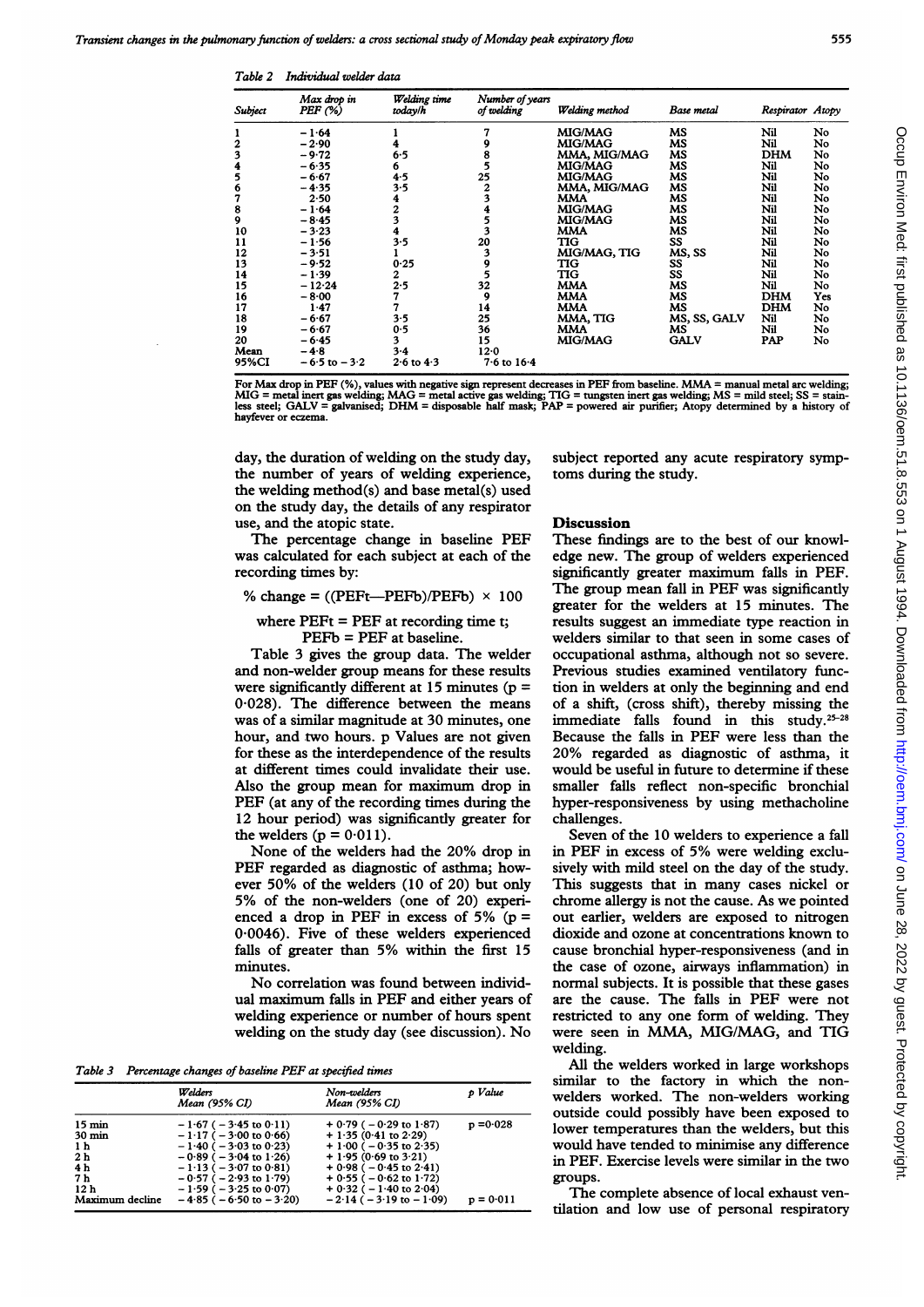Table 2 Individual welder data

| Subject | Max drop in<br>$PEF$ $(\%)$ | Welding time<br>today/h | Number of years<br>of welding | Welding method | Base metal   | Respirator Atopy |     |
|---------|-----------------------------|-------------------------|-------------------------------|----------------|--------------|------------------|-----|
|         | $-1.64$                     |                         |                               | <b>MIG/MAG</b> | MS           | Nil              | No  |
| 2       | $-2.90$                     |                         |                               | <b>MIG/MAG</b> | МS           | Nil              | No  |
| 3       | $-9.72$                     | 6.5                     |                               | MMA, MIG/MAG   | МS           | <b>DHM</b>       | No  |
| 4       | - 6.35                      | 6                       |                               | <b>MIG/MAG</b> | МS           | Nil              | No  |
| 5       | $-6.67$                     | 4.5                     | 25                            | MIG/MAG        | MS           | Nil              | No  |
| 6       | $-4.35$                     | 3.5                     | 2                             | MMA, MIG/MAG   | мs           | Nil              | No  |
| 7       | 2.50                        | 4                       |                               | MMA            | MS           | Nil              | No  |
| 8       | $-1.64$                     | $\overline{c}$          |                               | <b>MIG/MAG</b> | МS           | Nil              | No  |
| 9       | $-8.45$                     | 3                       |                               | <b>MIG/MAG</b> | МS           | Nil              | No  |
| 10      | $-3.23$                     |                         |                               | MMA            | МS           | Nil              | No  |
| 11      | $-1.56$                     | 3.5                     | 20                            | TIG            | SS           | Nil              | No  |
| 12      | $-3.51$                     |                         | 3                             | MIG/MAG, TIG   | MS, SS       | Nil              | No  |
| 13      | $-9.52$                     | 0.25                    | 9                             | TIG            | SS           | Nil              | No  |
| 14      | $-1.39$                     | 2                       |                               | TIG            | SS           | Nil              | No  |
| 15      | $-12.24$                    | 2.5                     | 32                            | <b>MMA</b>     | МS           | Nil              | No  |
| 16      | $-8.00$                     | 7                       | 9                             | <b>MMA</b>     | МS           | <b>DHM</b>       | Yes |
| 17      | 1.47                        |                         | 14                            | <b>MMA</b>     | MS           | <b>DHM</b>       | No  |
| 18      | $-6.67$                     | 3.5                     | 25                            | MMA, TIG       | MS, SS, GALV | Nil              | No  |
| 19      | – 6·67                      | 0.5                     | 36                            | MMA            | МS           | Nil              | No  |
| 20      | $-6.45$                     | 3                       | 15                            | <b>MIG/MAG</b> | <b>GALV</b>  | PAP              | No  |
| Mean    | $-4.8$                      | $3-4$                   | $12 - 0$                      |                |              |                  |     |
| 95%CI   | $-6.5$ to $-3.2$            | $2.6$ to $4.3$          | $7.6$ to $16.4$               |                |              |                  |     |

For Max drop in PEF (%), values with negative sign represent decreases in PEF from baseline. MMA = manual metal arc welding; MIG = metal inert gas welding; MAG = metal active gas welding; TIG = tungsten inert gas welding; MS = mild steel; SS = stain-<br>less steel; GALV = galvanised; DHM = disposable half mask; PAP = powered air purifier; Atopy det hayfever or eczema.

day, the duration of welding on the study day, the number of years of welding experience, the welding method(s) and base metal(s) used on the study day, the details of any respirator use, and the atopic state.

The percentage change in baseline PEF was calculated for each subject at each of the recording times by:

% change =  $((PEFt—PEFb)/PEFb) \times 100$ 

where  $PEFt = PEF$  at recording time t;

PEFb = PEF at baseline.

Table 3 gives the group data. The welder and non-welder group means for these results were significantly different at  $15$  minutes ( $p =$ 0-028). The difference between the means was of a similar magnitude at 30 minutes, one hour, and two hours. p Values are not given for these as the interdependence of the results at different times could invalidate their use. Also the group mean for maximum drop in PEF (at any of the recording times during the 12 hour period) was significantly greater for the welders ( $p = 0.011$ ).

None of the welders had the 20% drop in PEF regarded as diagnostic of asthma; however 50% of the welders (10 of 20) but only 5% of the non-welders (one of 20) experienced a drop in PEF in excess of  $5\%$  (p = 0-0046). Five of these welders experienced falls of greater than 5% within the first <sup>15</sup> minutes.

No correlation was found between individual maximum falls in PEF and either years of welding experience or number of hours spent welding on the study day (see discussion). No

Table 3 Percentage changes of baseline PEF at specified times

|                  | Welders<br>Mean (95% CI)       | Non-welders<br>Mean (95% CI)    | p Value     |
|------------------|--------------------------------|---------------------------------|-------------|
| $15 \text{ min}$ | $-1.67$ ( $-3.45$ to 0.11)     | $+0.79(-0.29 \text{ to } 1.87)$ | $p = 0.028$ |
| $30 \text{ min}$ | $-1.17$ ( $-3.00$ to 0.66)     | $+1.35(0.41)$ to 2.29)          |             |
| 1 <sub>h</sub>   | $-1.40$ ( $-3.03$ to 0.23)     | $+1.00$ ( $-0.35$ to 2.35)      |             |
| 2 <sub>h</sub>   | $-0.89$ ( $-3.04$ to 1.26)     | $+1.95(0.69 \text{ to } 3.21)$  |             |
| 4 <sub>h</sub>   | $-1.13$ ( $-3.07$ to 0.81)     | $+0.98$ ( $-0.45$ to 2.41)      |             |
| 7 h              | $-0.57$ ( $-2.93$ to 1.79)     | $+0.55$ ( $-0.62$ to 1.72)      |             |
| 12 <sub>h</sub>  | $-1.59$ ( $-3.25$ to 0.07)     | $+0.32$ ( $-1.40$ to 2.04)      |             |
| Maximum decline  | $-4.85$ ( $-6.50$ to $-3.20$ ) | $-2.14$ ( $-3.19$ to $-1.09$ )  | $p = 0.011$ |

subject reported any acute respiratory symptoms during the study.

## Discussion

These findings are to the best of our knowledge new. The group of welders experienced significantly greater maximum falls in PEF. The group mean fall in PEF was significantly greater for the welders at 15 minutes. The results suggest an immediate type reaction in welders similar to that seen in some cases of occupational asthma, although not so severe. Previous studies examined ventilatory function in welders at only the beginning and end of a shift, (cross shift), thereby missing the immediate falls found in this study. $25-28$ Because the falls in PEF were less than the 20% regarded as diagnostic of asthma, it would be useful in future to determine if these smaller falls reflect non-specific bronchial hyper-responsiveness by using methacholine challenges.

Seven of the 10 welders to experience a fall in PEF in excess of 5% were welding exclusively with mild steel on the day of the study. This suggests that in many cases nickel or chrome allergy is not the cause. As we pointed out earlier, welders are exposed to nitrogen dioxide and ozone at concentrations known to cause bronchial hyper-responsiveness (and in the case of ozone, airways inflammation) in normal subjects. It is possible that these gases are the cause. The falls in PEF were not restricted to any one form of welding. They were seen in MMA, MIG/MAG, and TIG welding.

All the welders worked in large workshops similar to the factory in which the nonwelders worked. The non-welders working outside could possibly have been exposed to lower temperatures than the welders, but this would have tended to minimise any difference in PEF. Exercise levels were similar in the two groups.

The complete absence of local exhaust ventilation and low use of personal respiratory